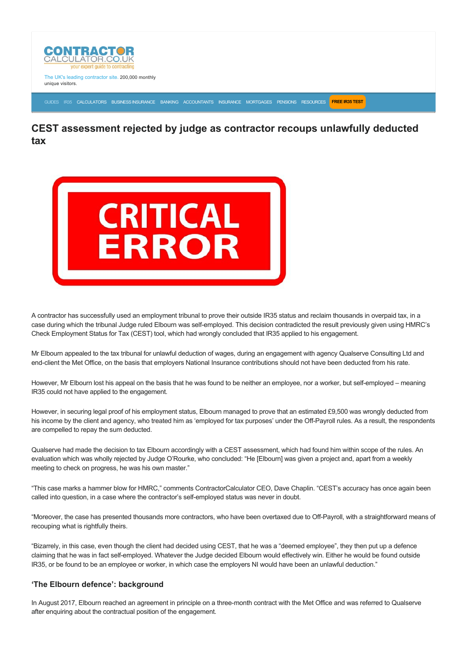

The UK's leading contractor site. 200,000 monthly unique visitors.

[GUIDES](https://www.contractorcalculator.co.uk/articles.aspx) [IR35](https://www.contractorcalculator.co.uk/ir35.aspx) [CALCULATORS](https://www.contractorcalculator.co.uk/calculators.aspx) [BUSINESS INSURANCE](https://www.contractorcalculator.co.uk/contractor_insurances.aspx) [BANKING](https://www.contractorcalculator.co.uk/contractor_banking.aspx) [ACCOUNTANTS](https://www.contractorcalculator.co.uk/contractor_accountant_services.aspx) [INSURANCE](https://www.contractorcalculator.co.uk/insurance.aspx) [MORTGAGES](https://www.contractorcalculator.co.uk/contractor_mortgages.aspx) [PENSIONS](https://www.contractorcalculator.co.uk/contractor_pensions.aspx) [RESOURCES](https://www.contractorcalculator.co.uk/contractor_resources.aspx) **[FREE IR35 TEST](https://www.ir35testing.co.uk/TakeTheTest)**

# **CEST assessment rejected by judge as contractor recoups unlawfully deducted tax**



A contractor has successfully used an employment tribunal to prove their outside IR35 status and reclaim thousands in overpaid tax, in a case during which the tribunal Judge ruled Elbourn was self-employed. This decision contradicted the result previously given using HMRC's Check Employment Status for Tax (CEST) tool, which had wrongly concluded that IR35 applied to his engagement.

Mr Elbourn appealed to the tax tribunal for unlawful deduction of wages, during an engagement with agency Qualserve Consulting Ltd and end-client the Met Office, on the basis that employers National Insurance contributions should not have been deducted from his rate.

However, Mr Elbourn lost his appeal on the basis that he was found to be neither an employee, nor a worker, but self-employed – meaning IR35 could not have applied to the engagement.

However, in securing legal proof of his employment status, Elbourn managed to prove that an estimated £9,500 was wrongly deducted from his income by the client and agency, who treated him as 'employed for tax purposes' under the Off-Payroll rules. As a result, the respondents are compelled to repay the sum deducted.

Qualserve had made the decision to tax Elbourn accordingly with a CEST assessment, which had found him within scope of the rules. An evaluation which was wholly rejected by Judge O'Rourke, who concluded: "He [Elbourn] was given a project and, apart from a weekly meeting to check on progress, he was his own master."

"This case marks a hammer blow for HMRC," comments ContractorCalculator CEO, Dave Chaplin. "CEST's accuracy has once again been called into question, in a case where the contractor's self-employed status was never in doubt.

"Moreover, the case has presented thousands more contractors, who have been overtaxed due to OffPayroll, with a straightforward means of recouping what is rightfully theirs.

"Bizarrely, in this case, even though the client had decided using CEST, that he was a "deemed employee", they then put up a defence claiming that he was in fact self-employed. Whatever the Judge decided Elbourn would effectively win. Either he would be found outside IR35, or be found to be an employee or worker, in which case the employers NI would have been an unlawful deduction."

## **'The Elbourn defence': background**

In August 2017, Elbourn reached an agreement in principle on a three-month contract with the Met Office and was referred to Qualserve after enquiring about the contractual position of the engagement.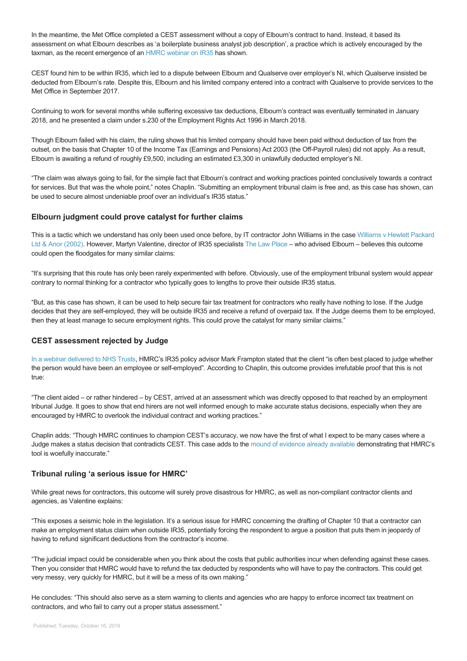In the meantime, the Met Office completed a CEST assessment without a copy of Elbourn's contract to hand. Instead, it based its assessment on what Elbourn describes as 'a boilerplate business analyst job description', a practice which is actively encouraged by the taxman, as the recent emergence of an [HMRC webinar on IR35](https://www.contractorcalculator.co.uk/leaked_hmrc_webinar_taxman_misled_nhs_ir35_544810_news.aspx) has shown.

CEST found him to be within IR35, which led to a dispute between Elbourn and Qualserve over employer's NI, which Qualserve insisted be deducted from Elbourn's rate. Despite this, Elbourn and his limited company entered into a contract with Qualserve to provide services to the Met Office in September 2017.

Continuing to work for several months while suffering excessive tax deductions, Elbourn's contract was eventually terminated in January 2018, and he presented a claim under s.230 of the Employment Rights Act 1996 in March 2018.

Though Elbourn failed with his claim, the ruling shows that his limited company should have been paid without deduction of tax from the outset, on the basis that Chapter 10 of the Income Tax (Earnings and Pensions) Act 2003 (the Off-Payroll rules) did not apply. As a result, Elbourn is awaiting a refund of roughly £9,500, including an estimated £3,300 in unlawfully deducted employer's NI.

"The claim was always going to fail, for the simple fact that Elbourn's contract and working practices pointed conclusively towards a contract for services. But that was the whole point," notes Chaplin. "Submitting an employment tribunal claim is free and, as this case has shown, can be used to secure almost undeniable proof over an individual's IR35 status."

### **Elbourn judgment could prove catalyst for further claims**

[This is a tactic which we understand has only been used once before, by IT contractor John Williams in the case Williams v Hewlett Packard](https://www.casemine.com/judgement/uk/5a8ff77960d03e7f57eace7a) Ltd & Anor (2002). However, Martyn Valentine, director of IR35 specialists [The Law Place](http://www.thelawplace.co.uk/) – who advised Elbourn – believes this outcome could open the floodgates for many similar claims:

"It's surprising that this route has only been rarely experimented with before. Obviously, use of the employment tribunal system would appear contrary to normal thinking for a contractor who typically goes to lengths to prove their outside IR35 status.

"But, as this case has shown, it can be used to help secure fair tax treatment for contractors who really have nothing to lose. If the Judge decides that they are self-employed, they will be outside IR35 and receive a refund of overpaid tax. If the Judge deems them to be employed, then they at least manage to secure employment rights. This could prove the catalyst for many similar claims."

#### **CEST assessment rejected by Judge**

[In a webinar delivered to NHS Trusts,](https://www.contractorcalculator.co.uk/leaked_hmrc_webinar_taxman_misled_nhs_ir35_544810_news.aspx) HMRC's IR35 policy advisor Mark Frampton stated that the client "is often best placed to judge whether the person would have been an employee or self-employed". According to Chaplin, this outcome provides irrefutable proof that this is not true:

"The client aided – or rather hindered – by CEST, arrived at an assessment which was directly opposed to that reached by an employment tribunal Judge. It goes to show that end hirers are not well informed enough to make accurate status decisions, especially when they are encouraged by HMRC to overlook the individual contract and working practices."

Chaplin adds: "Though HMRC continues to champion CEST's accuracy, we now have the first of what I expect to be many cases where a Judge makes a status decision that contradicts CEST. This case adds to the [mound of evidence already available](https://www.contractorcalculator.co.uk/cest_failings_contractorcalculator_investigation.aspx) demonstrating that HMRC's tool is woefully inaccurate."

### **Tribunal ruling 'a serious issue for HMRC'**

While great news for contractors, this outcome will surely prove disastrous for HMRC, as well as non-compliant contractor clients and agencies, as Valentine explains:

"This exposes a seismic hole in the legislation. It's a serious issue for HMRC concerning the drafting of Chapter 10 that a contractor can make an employment status claim when outside IR35, potentially forcing the respondent to argue a position that puts them in jeopardy of having to refund significant deductions from the contractor's income.

"The judicial impact could be considerable when you think about the costs that public authorities incur when defending against these cases. Then you consider that HMRC would have to refund the tax deducted by respondents who will have to pay the contractors. This could get very messy, very quickly for HMRC, but it will be a mess of its own making."

He concludes: "This should also serve as a stern warning to clients and agencies who are happy to enforce incorrect tax treatment on contractors, and who fail to carry out a proper status assessment."